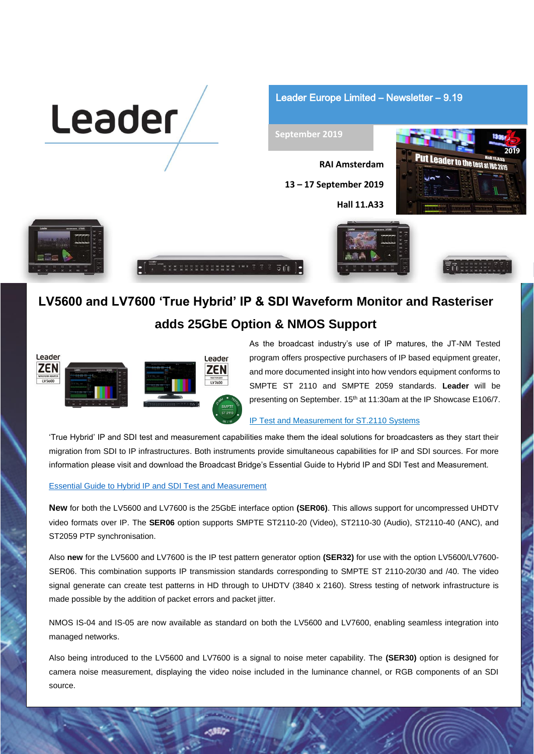

Leader Europe Limited – Newsletter – 9.19

### **September 2019**

**RAI Amsterdam 13 – 17 September 2019 Hall 11.A33**







# **LV5600 and LV7600 'True Hybrid' IP & SDI Waveform Monitor and Rasteriser**

 $\overline{\circ}$   $\overline{\circ}$ 

## **adds 25GbE Option & NMOS Support**



As the broadcast industry's use of IP matures, the JT-NM Tested program offers prospective purchasers of IP based equipment greater, and more documented insight into how vendors equipment conforms to SMPTE ST 2110 and SMPTE 2059 standards. **Leader** will be presenting on September. 15th at 11:30am at the IP Showcase E106/7.

### [IP Test and Measurement for ST.2110 Systems](http://www.ipshowcase.org/theatre-schedule-ibc2019/)

'True Hybrid' IP and SDI test and measurement capabilities make them the ideal solutions for broadcasters as they start their migration from SDI to IP infrastructures. Both instruments provide simultaneous capabilities for IP and SDI sources. For more information please visit and download the Broadcast Bridge's Essential Guide to Hybrid IP and SDI Test and Measurement.

### [Essential Guide to Hybrid IP and SDI Test and Measurement](https://www.thebroadcastbridge.com/content/entry/13947/essential-guide-hybrid-ip-and-sdi-test-and-measurement?cat_id=91)

**New** for both the LV5600 and LV7600 is the 25GbE interface option **(SER06)**. This allows support for uncompressed UHDTV video formats over IP. The **SER06** option supports SMPTE ST2110-20 (Video), ST2110-30 (Audio), ST2110-40 (ANC), and ST2059 PTP synchronisation.

Also **new** for the LV5600 and LV7600 is the IP test pattern generator option **(SER32)** for use with the option LV5600/LV7600- SER06. This combination supports IP transmission standards corresponding to SMPTE ST 2110-20/30 and /40. The video signal generate can create test patterns in HD through to UHDTV (3840 x 2160). Stress testing of network infrastructure is made possible by the addition of packet errors and packet jitter.

NMOS IS-04 and IS-05 are now available as standard on both the LV5600 and LV7600, enabling seamless integration into managed networks.

Also being introduced to the LV5600 and LV7600 is a signal to noise meter capability. The **(SER30)** option is designed for camera noise measurement, displaying the video noise included in the luminance channel, or RGB components of an SDI source.